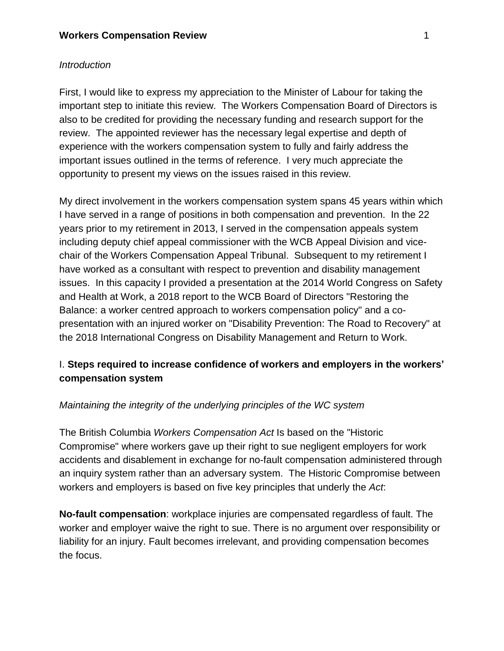### *Introduction*

First, I would like to express my appreciation to the Minister of Labour for taking the important step to initiate this review. The Workers Compensation Board of Directors is also to be credited for providing the necessary funding and research support for the review. The appointed reviewer has the necessary legal expertise and depth of experience with the workers compensation system to fully and fairly address the important issues outlined in the terms of reference. I very much appreciate the opportunity to present my views on the issues raised in this review.

My direct involvement in the workers compensation system spans 45 years within which I have served in a range of positions in both compensation and prevention. In the 22 years prior to my retirement in 2013, I served in the compensation appeals system including deputy chief appeal commissioner with the WCB Appeal Division and vicechair of the Workers Compensation Appeal Tribunal. Subsequent to my retirement I have worked as a consultant with respect to prevention and disability management issues. In this capacity I provided a presentation at the 2014 World Congress on Safety and Health at Work, a 2018 report to the WCB Board of Directors "Restoring the Balance: a worker centred approach to workers compensation policy" and a copresentation with an injured worker on "Disability Prevention: The Road to Recovery" at the 2018 International Congress on Disability Management and Return to Work.

# I. **Steps required to increase confidence of workers and employers in the workers' compensation system**

## *Maintaining the integrity of the underlying principles of the WC system*

The British Columbia *Workers Compensation Act* Is based on the "Historic Compromise" where workers gave up their right to sue negligent employers for work accidents and disablement in exchange for no-fault compensation administered through an inquiry system rather than an adversary system. The Historic Compromise between workers and employers is based on five key principles that underly the *Act*:

**No-fault compensation**: workplace injuries are compensated regardless of fault. The worker and employer waive the right to sue. There is no argument over responsibility or liability for an injury. Fault becomes irrelevant, and providing compensation becomes the focus.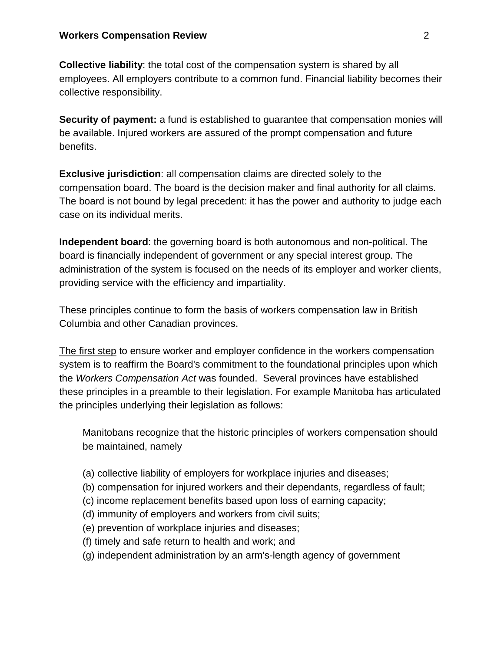**Collective liability**: the total cost of the compensation system is shared by all employees. All employers contribute to a common fund. Financial liability becomes their collective responsibility.

**Security of payment:** a fund is established to guarantee that compensation monies will be available. Injured workers are assured of the prompt compensation and future benefits.

**Exclusive jurisdiction**: all compensation claims are directed solely to the compensation board. The board is the decision maker and final authority for all claims. The board is not bound by legal precedent: it has the power and authority to judge each case on its individual merits.

**Independent board**: the governing board is both autonomous and non-political. The board is financially independent of government or any special interest group. The administration of the system is focused on the needs of its employer and worker clients, providing service with the efficiency and impartiality.

These principles continue to form the basis of workers compensation law in British Columbia and other Canadian provinces.

The first step to ensure worker and employer confidence in the workers compensation system is to reaffirm the Board's commitment to the foundational principles upon which the *Workers Compensation Act* was founded.Several provinces have established these principles in a preamble to their legislation. For example Manitoba has articulated the principles underlying their legislation as follows:

Manitobans recognize that the historic principles of workers compensation should be maintained, namely

- (a) collective liability of employers for workplace injuries and diseases;
- (b) compensation for injured workers and their dependants, regardless of fault;
- (c) income replacement benefits based upon loss of earning capacity;
- (d) immunity of employers and workers from civil suits;
- (e) prevention of workplace injuries and diseases;
- (f) timely and safe return to health and work; and
- (g) independent administration by an arm's-length agency of government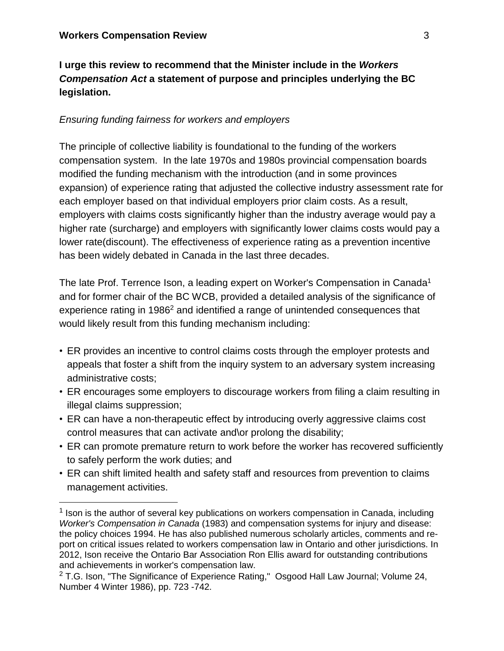# **I urge this review to recommend that the Minister include in the** *Workers Compensation Act* **a statement of purpose and principles underlying the BC legislation.**

### *Ensuring funding fairness for workers and employers*

The principle of collective liability is foundational to the funding of the workers compensation system. In the late 1970s and 1980s provincial compensation boards modified the funding mechanism with the introduction (and in some provinces expansion) of experience rating that adjusted the collective industry assessment rate for each employer based on that individual employers prior claim costs. As a result, employers with claims costs significantly higher than the industry average would pay a higher rate (surcharge) and employers with significantly lower claims costs would pay a lower rate(discount). The effectiveness of experience rating as a prevention incentive has been widely debated in Canada in the last three decades.

The late Prof. Terrence Ison, a leading expert on Worker's Compensation in Canada<sup>1</sup> and for former chair of the BC WCB, provided a detailed analysis of the significance of experience rating in 1986<sup>2</sup> and identified a range of unintended consequences that would likely result from this funding mechanism including:

- ER provides an incentive to control claims costs through the employer protests and appeals that foster a shift from the inquiry system to an adversary system increasing administrative costs;
- ER encourages some employers to discourage workers from filing a claim resulting in illegal claims suppression;
- ER can have a non-therapeutic effect by introducing overly aggressive claims cost control measures that can activate and\or prolong the disability;
- ER can promote premature return to work before the worker has recovered sufficiently to safely perform the work duties; and
- ER can shift limited health and safety staff and resources from prevention to claims management activities.

 $1$  Ison is the author of several key publications on workers compensation in Canada, including *Worker's Compensation in Canada* (1983) and compensation systems for injury and disease: the policy choices 1994. He has also published numerous scholarly articles, comments and report on critical issues related to workers compensation law in Ontario and other jurisdictions. In 2012, Ison receive the Ontario Bar Association Ron Ellis award for outstanding contributions and achievements in worker's compensation law.

 $2$  T.G. Ison, "The Significance of Experience Rating," Osgood Hall Law Journal; Volume 24, Number 4 Winter 1986), pp. 723 -742.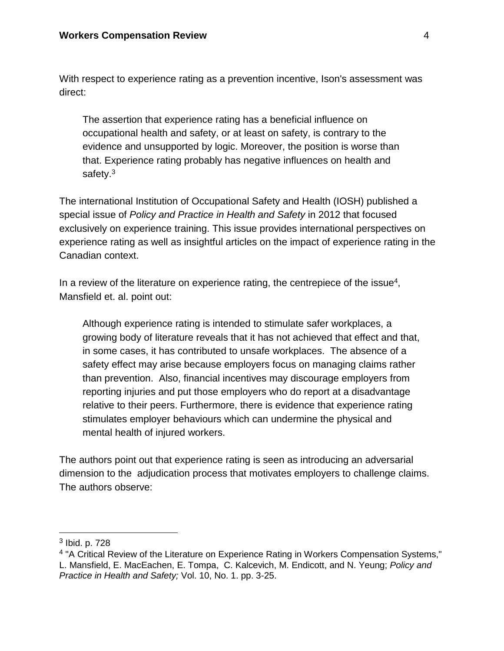With respect to experience rating as a prevention incentive, Ison's assessment was direct:

The assertion that experience rating has a beneficial influence on occupational health and safety, or at least on safety, is contrary to the evidence and unsupported by logic. Moreover, the position is worse than that. Experience rating probably has negative influences on health and safety.<sup>3</sup>

The international Institution of Occupational Safety and Health (IOSH) published a special issue of *Policy and Practice in Health and Safety* in 2012 that focused exclusively on experience training. This issue provides international perspectives on experience rating as well as insightful articles on the impact of experience rating in the Canadian context.

In a review of the literature on experience rating, the centrepiece of the issue $4$ , Mansfield et. al. point out:

Although experience rating is intended to stimulate safer workplaces, a growing body of literature reveals that it has not achieved that effect and that, in some cases, it has contributed to unsafe workplaces. The absence of a safety effect may arise because employers focus on managing claims rather than prevention. Also, financial incentives may discourage employers from reporting injuries and put those employers who do report at a disadvantage relative to their peers. Furthermore, there is evidence that experience rating stimulates employer behaviours which can undermine the physical and mental health of injured workers.

The authors point out that experience rating is seen as introducing an adversarial dimension to the adjudication process that motivates employers to challenge claims. The authors observe:

<sup>&</sup>lt;sup>3</sup> Ibid. p. 728

<sup>&</sup>lt;sup>4</sup> "A Critical Review of the Literature on Experience Rating in Workers Compensation Systems," L. Mansfield, E. MacEachen, E. Tompa, C. Kalcevich, M. Endicott, and N. Yeung; *Policy and Practice in Health and Safety;* Vol. 10, No. 1. pp. 3-25.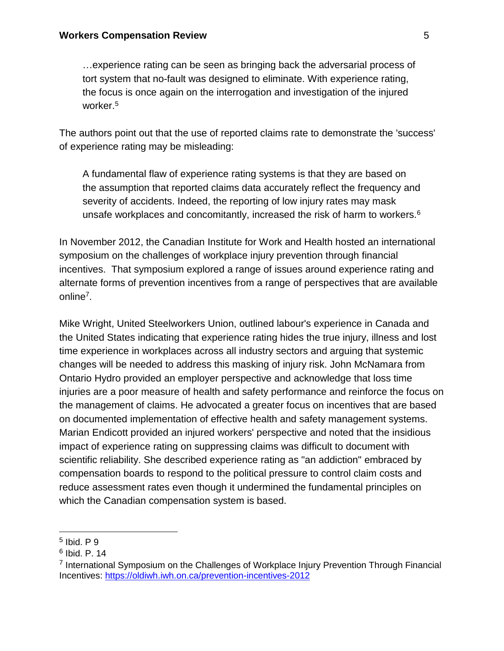…experience rating can be seen as bringing back the adversarial process of tort system that no-fault was designed to eliminate. With experience rating, the focus is once again on the interrogation and investigation of the injured worker.<sup>5</sup>

The authors point out that the use of reported claims rate to demonstrate the 'success' of experience rating may be misleading:

A fundamental flaw of experience rating systems is that they are based on the assumption that reported claims data accurately reflect the frequency and severity of accidents. Indeed, the reporting of low injury rates may mask unsafe workplaces and concomitantly, increased the risk of harm to workers.<sup>6</sup>

In November 2012, the Canadian Institute for Work and Health hosted an international symposium on the challenges of workplace injury prevention through financial incentives. That symposium explored a range of issues around experience rating and alternate forms of prevention incentives from a range of perspectives that are available online<sup>7</sup>.

Mike Wright, United Steelworkers Union, outlined labour's experience in Canada and the United States indicating that experience rating hides the true injury, illness and lost time experience in workplaces across all industry sectors and arguing that systemic changes will be needed to address this masking of injury risk. John McNamara from Ontario Hydro provided an employer perspective and acknowledge that loss time injuries are a poor measure of health and safety performance and reinforce the focus on the management of claims. He advocated a greater focus on incentives that are based on documented implementation of effective health and safety management systems. Marian Endicott provided an injured workers' perspective and noted that the insidious impact of experience rating on suppressing claims was difficult to document with scientific reliability. She described experience rating as "an addiction" embraced by compensation boards to respond to the political pressure to control claim costs and reduce assessment rates even though it undermined the fundamental principles on which the Canadian compensation system is based.

<sup>5</sup> Ibid. P 9

<sup>6</sup> Ibid. P. 14

<sup>&</sup>lt;sup>7</sup> International Symposium on the Challenges of Workplace Injury Prevention Through Financial Incentives: <https://oldiwh.iwh.on.ca/prevention-incentives-2012>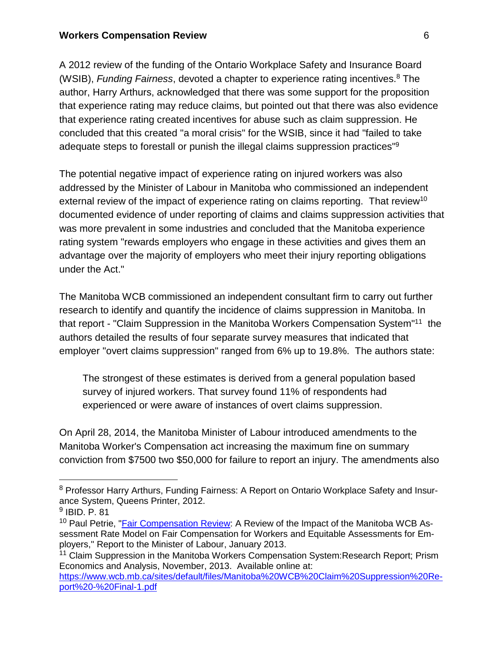A 2012 review of the funding of the Ontario Workplace Safety and Insurance Board (WSIB), *Funding Fairness*, devoted a chapter to experience rating incentives.<sup>8</sup> The author, Harry Arthurs, acknowledged that there was some support for the proposition that experience rating may reduce claims, but pointed out that there was also evidence that experience rating created incentives for abuse such as claim suppression. He concluded that this created "a moral crisis" for the WSIB, since it had "failed to take adequate steps to forestall or punish the illegal claims suppression practices"<sup>9</sup>

The potential negative impact of experience rating on injured workers was also addressed by the Minister of Labour in Manitoba who commissioned an independent external review of the impact of experience rating on claims reporting. That review<sup>10</sup> documented evidence of under reporting of claims and claims suppression activities that was more prevalent in some industries and concluded that the Manitoba experience rating system "rewards employers who engage in these activities and gives them an advantage over the majority of employers who meet their injury reporting obligations under the Act."

The Manitoba WCB commissioned an independent consultant firm to carry out further research to identify and quantify the incidence of claims suppression in Manitoba. In that report - "Claim Suppression in the Manitoba Workers Compensation System"<sup>11</sup> the authors detailed the results of four separate survey measures that indicated that employer "overt claims suppression" ranged from 6% up to 19.8%. The authors state:

The strongest of these estimates is derived from a general population based survey of injured workers. That survey found 11% of respondents had experienced or were aware of instances of overt claims suppression.

On April 28, 2014, the Manitoba Minister of Labour introduced amendments to the Manitoba Worker's Compensation act increasing the maximum fine on summary conviction from \$7500 two \$50,000 for failure to report an injury. The amendments also

<sup>&</sup>lt;sup>8</sup> Professor Harry Arthurs, Funding Fairness: A Report on Ontario Workplace Safety and Insurance System, Queens Printer, 2012.

<sup>9</sup> IBID. P. 81

<sup>&</sup>lt;sup>10</sup> Paul Petrie, "Fair [Compensation](https://nupge.ca/content/independent-report-confirms-employer-abuses-manitobas-workers-compensation-system) Review: A Review of the Impact of the Manitoba WCB Assessment Rate Model on Fair Compensation for Workers and Equitable Assessments for Employers," Report to the Minister of Labour, January 2013.

<sup>&</sup>lt;sup>11</sup> Claim Suppression in the Manitoba Workers Compensation System: Research Report; Prism Economics and Analysis, November, 2013. Available online at: [https://www.wcb.mb.ca/sites/default/files/Manitoba%20WCB%20Claim%20Suppression%20Re](https://www.wcb.mb.ca/sites/default/files/Manitoba%25252520WCB%25252520Claim%25252520Suppression%25252520Report%25252520-%25252520Final-1.pdf)[port%20-%20Final-1.pdf](https://www.wcb.mb.ca/sites/default/files/Manitoba%25252520WCB%25252520Claim%25252520Suppression%25252520Report%25252520-%25252520Final-1.pdf)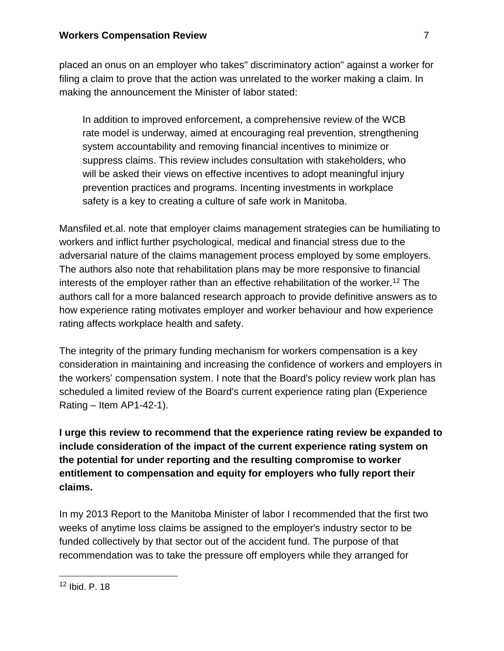placed an onus on an employer who takes" discriminatory action" against a worker for filing a claim to prove that the action was unrelated to the worker making a claim. In making the announcement the Minister of labor stated:

In addition to improved enforcement, a comprehensive review of the WCB rate model is underway, aimed at encouraging real prevention, strengthening system accountability and removing financial incentives to minimize or suppress claims. This review includes consultation with stakeholders, who will be asked their views on effective incentives to adopt meaningful injury prevention practices and programs. Incenting investments in workplace safety is a key to creating a culture of safe work in Manitoba.

Mansfiled et.al. note that employer claims management strategies can be humiliating to workers and inflict further psychological, medical and financial stress due to the adversarial nature of the claims management process employed by some employers. The authors also note that rehabilitation plans may be more responsive to financial interests of the employer rather than an effective rehabilitation of the worker.<sup>12</sup> The authors call for a more balanced research approach to provide definitive answers as to how experience rating motivates employer and worker behaviour and how experience rating affects workplace health and safety.

The integrity of the primary funding mechanism for workers compensation is a key consideration in maintaining and increasing the confidence of workers and employers in the workers' compensation system. I note that the Board's policy review work plan has scheduled a limited review of the Board's current experience rating plan (Experience Rating – Item  $AP1-42-1$ ).

**I urge this review to recommend that the experience rating review be expanded to include consideration of the impact of the current experience rating system on the potential for under reporting and the resulting compromise to worker entitlement to compensation and equity for employers who fully report their claims.**

In my 2013 Report to the Manitoba Minister of labor I recommended that the first two weeks of anytime loss claims be assigned to the employer's industry sector to be funded collectively by that sector out of the accident fund. The purpose of that recommendation was to take the pressure off employers while they arranged for

<sup>12</sup> Ibid. P. 18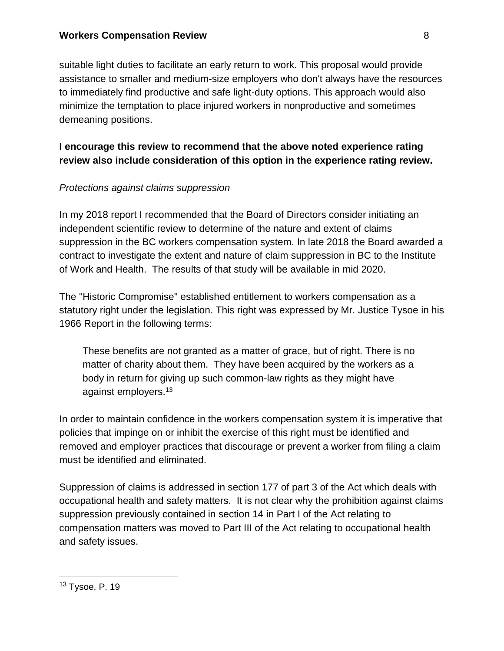suitable light duties to facilitate an early return to work. This proposal would provide assistance to smaller and medium-size employers who don't always have the resources to immediately find productive and safe light-duty options. This approach would also minimize the temptation to place injured workers in nonproductive and sometimes demeaning positions.

# **I encourage this review to recommend that the above noted experience rating review also include consideration of this option in the experience rating review.**

## *Protections against claims suppression*

In my 2018 report I recommended that the Board of Directors consider initiating an independent scientific review to determine of the nature and extent of claims suppression in the BC workers compensation system. In late 2018 the Board awarded a contract to investigate the extent and nature of claim suppression in BC to the Institute of Work and Health. The results of that study will be available in mid 2020.

The "Historic Compromise" established entitlement to workers compensation as a statutory right under the legislation. This right was expressed by Mr. Justice Tysoe in his 1966 Report in the following terms:

These benefits are not granted as a matter of grace, but of right. There is no matter of charity about them. They have been acquired by the workers as a body in return for giving up such common-law rights as they might have against employers.<sup>13</sup>

In order to maintain confidence in the workers compensation system it is imperative that policies that impinge on or inhibit the exercise of this right must be identified and removed and employer practices that discourage or prevent a worker from filing a claim must be identified and eliminated.

Suppression of claims is addressed in section 177 of part 3 of the Act which deals with occupational health and safety matters. It is not clear why the prohibition against claims suppression previously contained in section 14 in Part I of the Act relating to compensation matters was moved to Part III of the Act relating to occupational health and safety issues.

<sup>13</sup> Tysoe, P. 19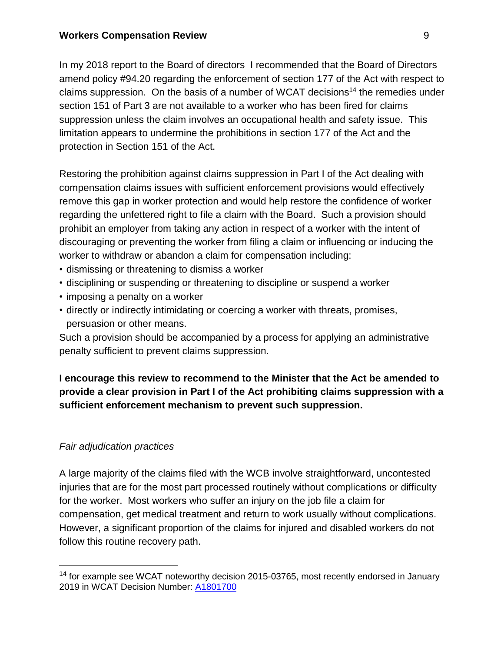In my 2018 report to the Board of directors I recommended that the Board of Directors amend policy #94.20 regarding the enforcement of section 177 of the Act with respect to claims suppression. On the basis of a number of WCAT decisions<sup>14</sup> the remedies under section 151 of Part 3 are not available to a worker who has been fired for claims suppression unless the claim involves an occupational health and safety issue. This limitation appears to undermine the prohibitions in section 177 of the Act and the protection in Section 151 of the Act.

Restoring the prohibition against claims suppression in Part I of the Act dealing with compensation claims issues with sufficient enforcement provisions would effectively remove this gap in worker protection and would help restore the confidence of worker regarding the unfettered right to file a claim with the Board. Such a provision should prohibit an employer from taking any action in respect of a worker with the intent of discouraging or preventing the worker from filing a claim or influencing or inducing the worker to withdraw or abandon a claim for compensation including:

- dismissing or threatening to dismiss a worker
- disciplining or suspending or threatening to discipline or suspend a worker
- imposing a penalty on a worker
- directly or indirectly intimidating or coercing a worker with threats, promises, persuasion or other means.

Such a provision should be accompanied by a process for applying an administrative penalty sufficient to prevent claims suppression.

**I encourage this review to recommend to the Minister that the Act be amended to provide a clear provision in Part I of the Act prohibiting claims suppression with a sufficient enforcement mechanism to prevent such suppression.**

## *Fair adjudication practices*

A large majority of the claims filed with the WCB involve straightforward, uncontested injuries that are for the most part processed routinely without complications or difficulty for the worker. Most workers who suffer an injury on the job file a claim for compensation, get medical treatment and return to work usually without complications. However, a significant proportion of the claims for injured and disabled workers do not follow this routine recovery path.

<sup>&</sup>lt;sup>14</sup> for example see WCAT noteworthy decision 2015-03765, most recently endorsed in January 2019 in WCAT Decision Number: [A1801700](https://www.wcat.bc.ca/search/result.aspx?file=/research/decisions/html/2019/01/A1801700.htm&highlight=section,151,claims,suppression&sid=A1801700)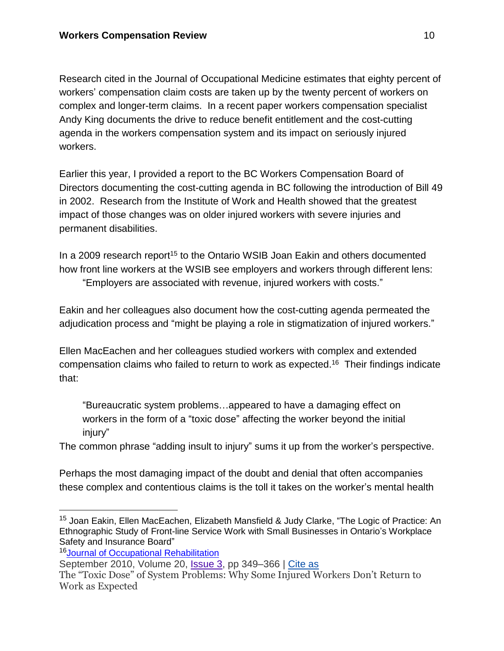Research cited in the Journal of Occupational Medicine estimates that eighty percent of workers' compensation claim costs are taken up by the twenty percent of workers on complex and longer-term claims. In a recent paper workers compensation specialist Andy King documents the drive to reduce benefit entitlement and the cost-cutting agenda in the workers compensation system and its impact on seriously injured workers.

Earlier this year, I provided a report to the BC Workers Compensation Board of Directors documenting the cost-cutting agenda in BC following the introduction of Bill 49 in 2002. Research from the Institute of Work and Health showed that the greatest impact of those changes was on older injured workers with severe injuries and permanent disabilities.

In a 2009 research report<sup>15</sup> to the Ontario WSIB Joan Eakin and others documented how front line workers at the WSIB see employers and workers through different lens: "Employers are associated with revenue, injured workers with costs."

Eakin and her colleagues also document how the cost-cutting agenda permeated the adjudication process and "might be playing a role in stigmatization of injured workers."

Ellen MacEachen and her colleagues studied workers with complex and extended compensation claims who failed to return to work as expected.<sup>16</sup> Their findings indicate that:

"Bureaucratic system problems…appeared to have a damaging effect on workers in the form of a "toxic dose" affecting the worker beyond the initial injury"

The common phrase "adding insult to injury" sums it up from the worker's perspective.

Perhaps the most damaging impact of the doubt and denial that often accompanies these complex and contentious claims is the toll it takes on the worker's mental health

September 2010, Volume 20, [Issue](https://link.springer.com/journal/10926/20/3/page/1) 3, pp 349–366 | Cite as

<sup>&</sup>lt;sup>15</sup> Joan Eakin, Ellen MacEachen, Elizabeth Mansfield & Judy Clarke, "The Logic of Practice: An Ethnographic Study of Front-line Service Work with Small Businesses in Ontario's Workplace Safety and Insurance Board"

<sup>16</sup>Journal of Occupational [Rehabilitation](https://link.springer.com/journal/10926)

The "Toxic Dose" of System Problems: Why Some Injured Workers Don't Return to Work as Expected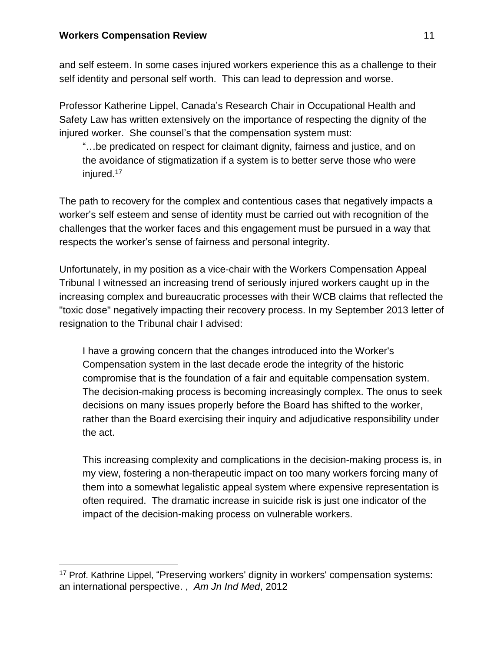and self esteem. In some cases injured workers experience this as a challenge to their self identity and personal self worth. This can lead to depression and worse.

Professor Katherine Lippel, Canada's Research Chair in Occupational Health and Safety Law has written extensively on the importance of respecting the dignity of the injured worker. She counsel's that the compensation system must:

"…be predicated on respect for claimant dignity, fairness and justice, and on the avoidance of stigmatization if a system is to better serve those who were injured.<sup>17</sup>

The path to recovery for the complex and contentious cases that negatively impacts a worker's self esteem and sense of identity must be carried out with recognition of the challenges that the worker faces and this engagement must be pursued in a way that respects the worker's sense of fairness and personal integrity.

Unfortunately, in my position as a vice-chair with the Workers Compensation Appeal Tribunal I witnessed an increasing trend of seriously injured workers caught up in the increasing complex and bureaucratic processes with their WCB claims that reflected the "toxic dose" negatively impacting their recovery process. In my September 2013 letter of resignation to the Tribunal chair I advised:

I have a growing concern that the changes introduced into the Worker's Compensation system in the last decade erode the integrity of the historic compromise that is the foundation of a fair and equitable compensation system. The decision-making process is becoming increasingly complex. The onus to seek decisions on many issues properly before the Board has shifted to the worker, rather than the Board exercising their inquiry and adjudicative responsibility under the act.

This increasing complexity and complications in the decision-making process is, in my view, fostering a non-therapeutic impact on too many workers forcing many of them into a somewhat legalistic appeal system where expensive representation is often required. The dramatic increase in suicide risk is just one indicator of the impact of the decision-making process on vulnerable workers.

<sup>&</sup>lt;sup>17</sup> Prof. Kathrine Lippel, "Preserving workers' dignity in workers' compensation systems: an international perspective. , *Am Jn Ind Med*, 2012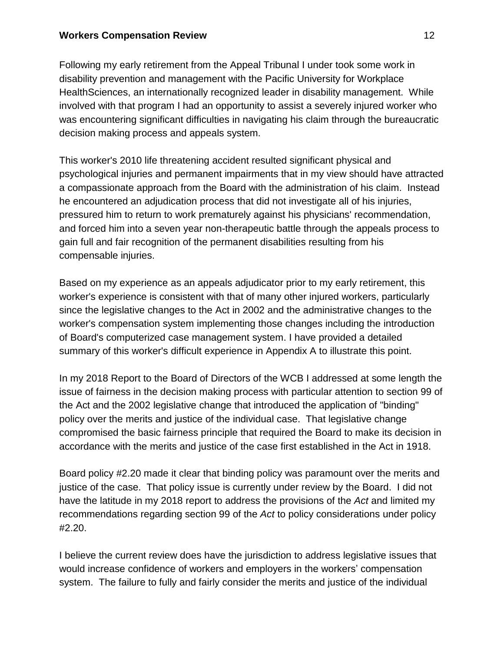Following my early retirement from the Appeal Tribunal I under took some work in disability prevention and management with the Pacific University for Workplace HealthSciences, an internationally recognized leader in disability management. While involved with that program I had an opportunity to assist a severely injured worker who was encountering significant difficulties in navigating his claim through the bureaucratic decision making process and appeals system.

This worker's 2010 life threatening accident resulted significant physical and psychological injuries and permanent impairments that in my view should have attracted a compassionate approach from the Board with the administration of his claim. Instead he encountered an adjudication process that did not investigate all of his injuries, pressured him to return to work prematurely against his physicians' recommendation, and forced him into a seven year non-therapeutic battle through the appeals process to gain full and fair recognition of the permanent disabilities resulting from his compensable injuries.

Based on my experience as an appeals adjudicator prior to my early retirement, this worker's experience is consistent with that of many other injured workers, particularly since the legislative changes to the Act in 2002 and the administrative changes to the worker's compensation system implementing those changes including the introduction of Board's computerized case management system. I have provided a detailed summary of this worker's difficult experience in Appendix A to illustrate this point.

In my 2018 Report to the Board of Directors of the WCB I addressed at some length the issue of fairness in the decision making process with particular attention to section 99 of the Act and the 2002 legislative change that introduced the application of "binding" policy over the merits and justice of the individual case. That legislative change compromised the basic fairness principle that required the Board to make its decision in accordance with the merits and justice of the case first established in the Act in 1918.

Board policy #2.20 made it clear that binding policy was paramount over the merits and justice of the case. That policy issue is currently under review by the Board. I did not have the latitude in my 2018 report to address the provisions of the *Act* and limited my recommendations regarding section 99 of the *Act* to policy considerations under policy #2.20.

I believe the current review does have the jurisdiction to address legislative issues that would increase confidence of workers and employers in the workers' compensation system. The failure to fully and fairly consider the merits and justice of the individual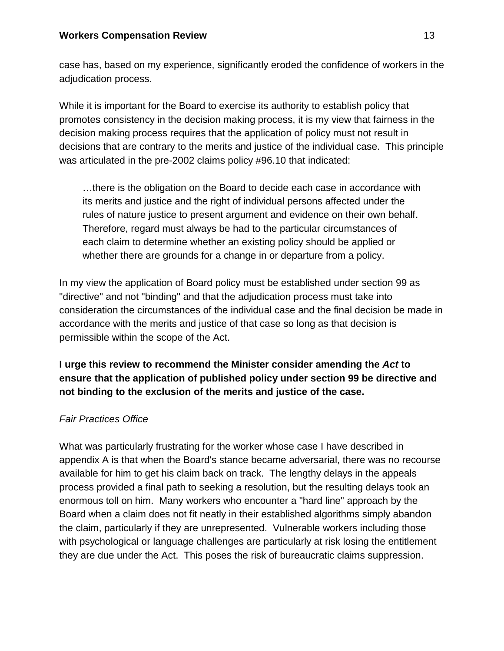case has, based on my experience, significantly eroded the confidence of workers in the adjudication process.

While it is important for the Board to exercise its authority to establish policy that promotes consistency in the decision making process, it is my view that fairness in the decision making process requires that the application of policy must not result in decisions that are contrary to the merits and justice of the individual case. This principle was articulated in the pre-2002 claims policy #96.10 that indicated:

…there is the obligation on the Board to decide each case in accordance with its merits and justice and the right of individual persons affected under the rules of nature justice to present argument and evidence on their own behalf. Therefore, regard must always be had to the particular circumstances of each claim to determine whether an existing policy should be applied or whether there are grounds for a change in or departure from a policy.

In my view the application of Board policy must be established under section 99 as "directive" and not "binding" and that the adjudication process must take into consideration the circumstances of the individual case and the final decision be made in accordance with the merits and justice of that case so long as that decision is permissible within the scope of the Act.

# **I urge this review to recommend the Minister consider amending the** *Act* **to ensure that the application of published policy under section 99 be directive and not binding to the exclusion of the merits and justice of the case.**

#### *Fair Practices Office*

What was particularly frustrating for the worker whose case I have described in appendix A is that when the Board's stance became adversarial, there was no recourse available for him to get his claim back on track. The lengthy delays in the appeals process provided a final path to seeking a resolution, but the resulting delays took an enormous toll on him. Many workers who encounter a "hard line" approach by the Board when a claim does not fit neatly in their established algorithms simply abandon the claim, particularly if they are unrepresented. Vulnerable workers including those with psychological or language challenges are particularly at risk losing the entitlement they are due under the Act. This poses the risk of bureaucratic claims suppression.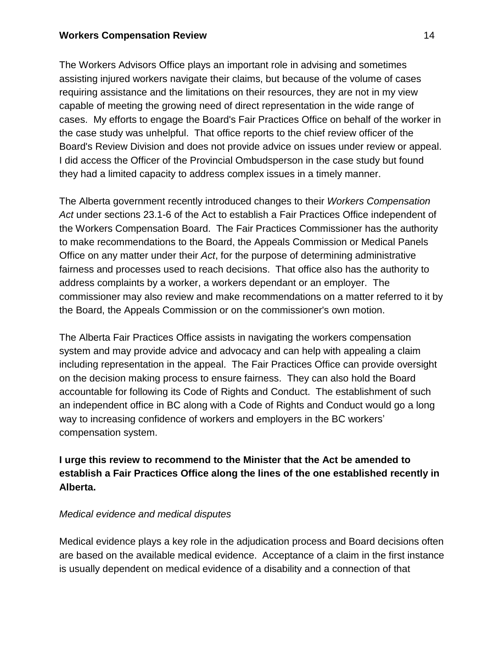The Workers Advisors Office plays an important role in advising and sometimes assisting injured workers navigate their claims, but because of the volume of cases requiring assistance and the limitations on their resources, they are not in my view capable of meeting the growing need of direct representation in the wide range of cases. My efforts to engage the Board's Fair Practices Office on behalf of the worker in the case study was unhelpful. That office reports to the chief review officer of the Board's Review Division and does not provide advice on issues under review or appeal. I did access the Officer of the Provincial Ombudsperson in the case study but found they had a limited capacity to address complex issues in a timely manner.

The Alberta government recently introduced changes to their *Workers Compensation Act* under sections 23.1-6 of the Act to establish a Fair Practices Office independent of the Workers Compensation Board. The Fair Practices Commissioner has the authority to make recommendations to the Board, the Appeals Commission or Medical Panels Office on any matter under their *Act*, for the purpose of determining administrative fairness and processes used to reach decisions. That office also has the authority to address complaints by a worker, a workers dependant or an employer. The commissioner may also review and make recommendations on a matter referred to it by the Board, the Appeals Commission or on the commissioner's own motion.

The Alberta Fair Practices Office assists in navigating the workers compensation system and may provide advice and advocacy and can help with appealing a claim including representation in the appeal. The Fair Practices Office can provide oversight on the decision making process to ensure fairness. They can also hold the Board accountable for following its Code of Rights and Conduct. The establishment of such an independent office in BC along with a Code of Rights and Conduct would go a long way to increasing confidence of workers and employers in the BC workers' compensation system.

# **I urge this review to recommend to the Minister that the Act be amended to establish a Fair Practices Office along the lines of the one established recently in Alberta.**

#### *Medical evidence and medical disputes*

Medical evidence plays a key role in the adjudication process and Board decisions often are based on the available medical evidence. Acceptance of a claim in the first instance is usually dependent on medical evidence of a disability and a connection of that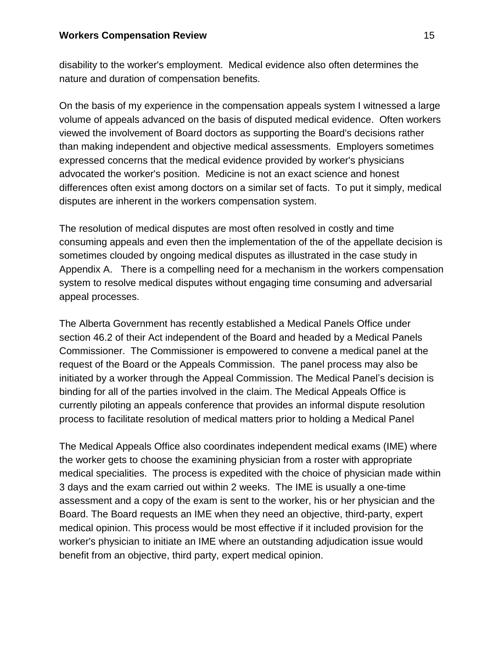disability to the worker's employment. Medical evidence also often determines the nature and duration of compensation benefits.

On the basis of my experience in the compensation appeals system I witnessed a large volume of appeals advanced on the basis of disputed medical evidence. Often workers viewed the involvement of Board doctors as supporting the Board's decisions rather than making independent and objective medical assessments. Employers sometimes expressed concerns that the medical evidence provided by worker's physicians advocated the worker's position. Medicine is not an exact science and honest differences often exist among doctors on a similar set of facts. To put it simply, medical disputes are inherent in the workers compensation system.

The resolution of medical disputes are most often resolved in costly and time consuming appeals and even then the implementation of the of the appellate decision is sometimes clouded by ongoing medical disputes as illustrated in the case study in Appendix A. There is a compelling need for a mechanism in the workers compensation system to resolve medical disputes without engaging time consuming and adversarial appeal processes.

The Alberta Government has recently established a Medical Panels Office under section 46.2 of their Act independent of the Board and headed by a Medical Panels Commissioner. The Commissioner is empowered to convene a medical panel at the request of the Board or the Appeals Commission. The panel process may also be initiated by a worker through the Appeal Commission. The Medical Panel's decision is binding for all of the parties involved in the claim. The Medical Appeals Office is currently piloting an appeals conference that provides an informal dispute resolution process to facilitate resolution of medical matters prior to holding a Medical Panel

The Medical Appeals Office also coordinates independent medical exams (IME) where the worker gets to choose the examining physician from a roster with appropriate medical specialities. The process is expedited with the choice of physician made within 3 days and the exam carried out within 2 weeks. The IME is usually a one-time assessment and a copy of the exam is sent to the worker, his or her physician and the Board. The Board requests an IME when they need an objective, third-party, expert medical opinion. This process would be most effective if it included provision for the worker's physician to initiate an IME where an outstanding adjudication issue would benefit from an objective, third party, expert medical opinion.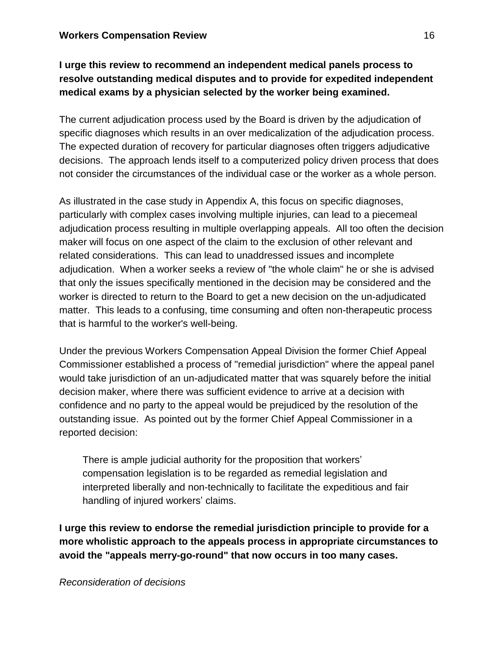# **I urge this review to recommend an independent medical panels process to resolve outstanding medical disputes and to provide for expedited independent medical exams by a physician selected by the worker being examined.**

The current adjudication process used by the Board is driven by the adjudication of specific diagnoses which results in an over medicalization of the adjudication process. The expected duration of recovery for particular diagnoses often triggers adjudicative decisions. The approach lends itself to a computerized policy driven process that does not consider the circumstances of the individual case or the worker as a whole person.

As illustrated in the case study in Appendix A, this focus on specific diagnoses, particularly with complex cases involving multiple injuries, can lead to a piecemeal adjudication process resulting in multiple overlapping appeals. All too often the decision maker will focus on one aspect of the claim to the exclusion of other relevant and related considerations. This can lead to unaddressed issues and incomplete adjudication. When a worker seeks a review of "the whole claim" he or she is advised that only the issues specifically mentioned in the decision may be considered and the worker is directed to return to the Board to get a new decision on the un-adjudicated matter. This leads to a confusing, time consuming and often non-therapeutic process that is harmful to the worker's well-being.

Under the previous Workers Compensation Appeal Division the former Chief Appeal Commissioner established a process of "remedial jurisdiction" where the appeal panel would take jurisdiction of an un-adjudicated matter that was squarely before the initial decision maker, where there was sufficient evidence to arrive at a decision with confidence and no party to the appeal would be prejudiced by the resolution of the outstanding issue. As pointed out by the former Chief Appeal Commissioner in a reported decision:

There is ample judicial authority for the proposition that workers' compensation legislation is to be regarded as remedial legislation and interpreted liberally and non-technically to facilitate the expeditious and fair handling of injured workers' claims.

**I urge this review to endorse the remedial jurisdiction principle to provide for a more wholistic approach to the appeals process in appropriate circumstances to avoid the "appeals merry-go-round" that now occurs in too many cases.**

*Reconsideration of decisions*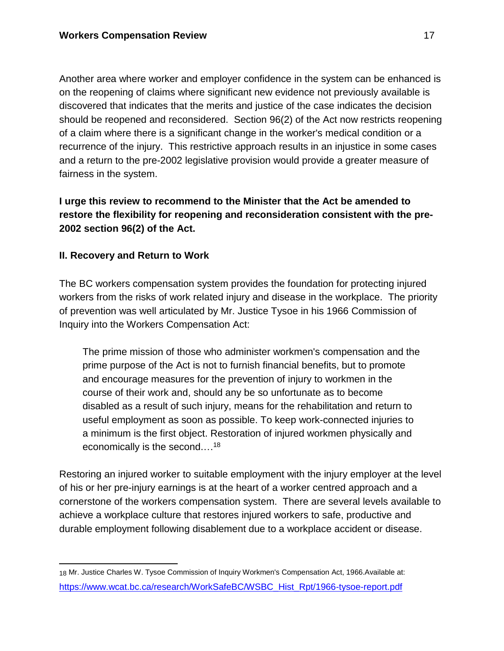Another area where worker and employer confidence in the system can be enhanced is on the reopening of claims where significant new evidence not previously available is discovered that indicates that the merits and justice of the case indicates the decision should be reopened and reconsidered. Section 96(2) of the Act now restricts reopening of a claim where there is a significant change in the worker's medical condition or a recurrence of the injury. This restrictive approach results in an injustice in some cases and a return to the pre-2002 legislative provision would provide a greater measure of fairness in the system.

# **I urge this review to recommend to the Minister that the Act be amended to restore the flexibility for reopening and reconsideration consistent with the pre-2002 section 96(2) of the Act.**

## **II. Recovery and Return to Work**

The BC workers compensation system provides the foundation for protecting injured workers from the risks of work related injury and disease in the workplace. The priority of prevention was well articulated by Mr. Justice Tysoe in his 1966 Commission of Inquiry into the Workers Compensation Act:

The prime mission of those who administer workmen's compensation and the prime purpose of the Act is not to furnish financial benefits, but to promote and encourage measures for the prevention of injury to workmen in the course of their work and, should any be so unfortunate as to become disabled as a result of such injury, means for the rehabilitation and return to useful employment as soon as possible. To keep work-connected injuries to a minimum is the first object. Restoration of injured workmen physically and economically is the second.…<sup>18</sup>

Restoring an injured worker to suitable employment with the injury employer at the level of his or her pre-injury earnings is at the heart of a worker centred approach and a cornerstone of the workers compensation system. There are several levels available to achieve a workplace culture that restores injured workers to safe, productive and durable employment following disablement due to a workplace accident or disease.

<sup>18</sup> Mr. Justice Charles W. Tysoe Commission of Inquiry Workmen's Compensation Act, 1966.Available at: [https://www.wcat.bc.ca/research/WorkSafeBC/WSBC\\_Hist\\_Rpt/1966-tysoe-report.pdf](https://www.wcat.bc.ca/research/WorkSafeBC/WSBC_Hist_Rpt/1966-tysoe-report.pdf)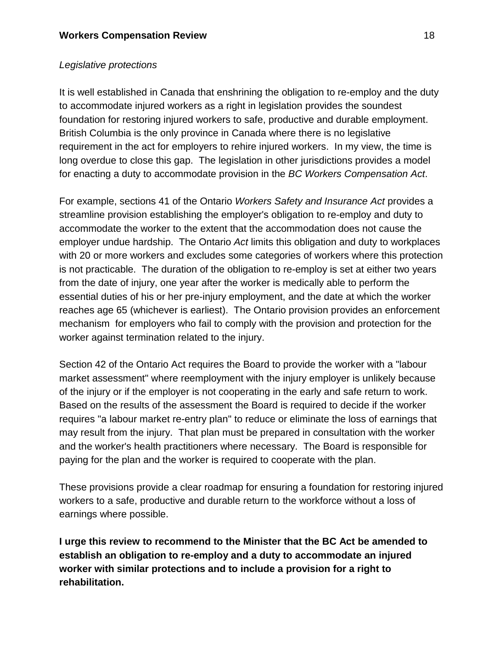## *Legislative protections*

It is well established in Canada that enshrining the obligation to re-employ and the duty to accommodate injured workers as a right in legislation provides the soundest foundation for restoring injured workers to safe, productive and durable employment. British Columbia is the only province in Canada where there is no legislative requirement in the act for employers to rehire injured workers. In my view, the time is long overdue to close this gap. The legislation in other jurisdictions provides a model for enacting a duty to accommodate provision in the *BC Workers Compensation Act*.

For example, sections 41 of the Ontario *Workers Safety and Insurance Act* provides a streamline provision establishing the employer's obligation to re-employ and duty to accommodate the worker to the extent that the accommodation does not cause the employer undue hardship. The Ontario *Act* limits this obligation and duty to workplaces with 20 or more workers and excludes some categories of workers where this protection is not practicable. The duration of the obligation to re-employ is set at either two years from the date of injury, one year after the worker is medically able to perform the essential duties of his or her pre-injury employment, and the date at which the worker reaches age 65 (whichever is earliest). The Ontario provision provides an enforcement mechanism for employers who fail to comply with the provision and protection for the worker against termination related to the injury.

Section 42 of the Ontario Act requires the Board to provide the worker with a "labour market assessment" where reemployment with the injury employer is unlikely because of the injury or if the employer is not cooperating in the early and safe return to work. Based on the results of the assessment the Board is required to decide if the worker requires "a labour market re-entry plan" to reduce or eliminate the loss of earnings that may result from the injury. That plan must be prepared in consultation with the worker and the worker's health practitioners where necessary. The Board is responsible for paying for the plan and the worker is required to cooperate with the plan.

These provisions provide a clear roadmap for ensuring a foundation for restoring injured workers to a safe, productive and durable return to the workforce without a loss of earnings where possible.

**I urge this review to recommend to the Minister that the BC Act be amended to establish an obligation to re-employ and a duty to accommodate an injured worker with similar protections and to include a provision for a right to rehabilitation.**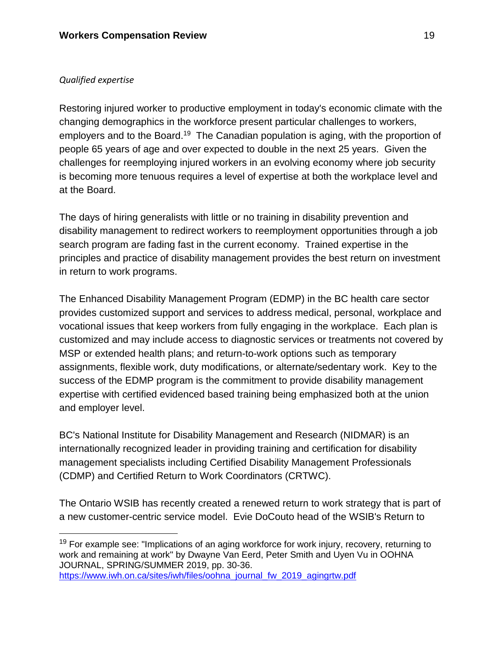#### *Qualified expertise*

Restoring injured worker to productive employment in today's economic climate with the changing demographics in the workforce present particular challenges to workers, employers and to the Board.<sup>19</sup> The Canadian population is aging, with the proportion of people 65 years of age and over expected to double in the next 25 years. Given the challenges for reemploying injured workers in an evolving economy where job security is becoming more tenuous requires a level of expertise at both the workplace level and at the Board.

The days of hiring generalists with little or no training in disability prevention and disability management to redirect workers to reemployment opportunities through a job search program are fading fast in the current economy. Trained expertise in the principles and practice of disability management provides the best return on investment in return to work programs.

The Enhanced Disability Management Program (EDMP) in the BC health care sector provides customized support and services to address medical, personal, workplace and vocational issues that keep workers from fully engaging in the workplace. Each plan is customized and may include access to diagnostic services or treatments not covered by MSP or extended health plans; and return-to-work options such as temporary assignments, flexible work, duty modifications, or alternate/sedentary work. Key to the success of the EDMP program is the commitment to provide disability management expertise with certified evidenced based training being emphasized both at the union and employer level.

BC's National Institute for Disability Management and Research (NIDMAR) is an internationally recognized leader in providing training and certification for disability management specialists including Certified Disability Management Professionals (CDMP) and Certified Return to Work Coordinators (CRTWC).

The Ontario WSIB has recently created a renewed return to work strategy that is part of a new customer-centric service model. Evie DoCouto head of the WSIB's Return to

 $19$  For example see: "Implications of an aging workforce for work injury, recovery, returning to work and remaining at work" by Dwayne Van Eerd, Peter Smith and Uyen Vu in OOHNA JOURNAL, SPRING/SUMMER 2019, pp. 30-36. [https://www.iwh.on.ca/sites/iwh/files/oohna\\_journal\\_fw\\_2019\\_agingrtw.pdf](https://www.iwh.on.ca/sites/iwh/files/oohna_journal_fw_2019_agingrtw.pdf)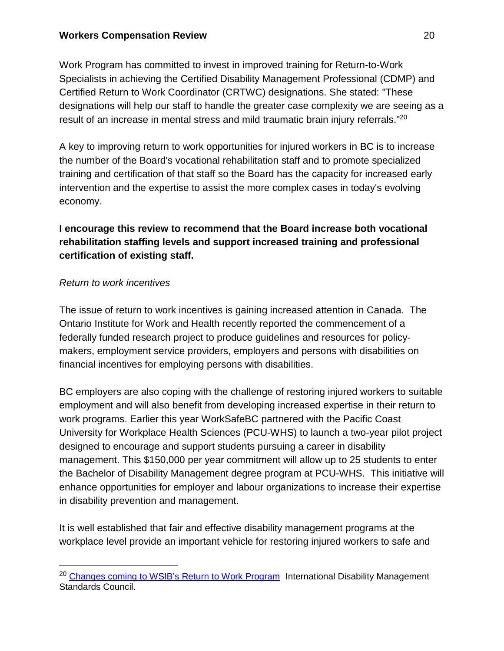Work Program has committed to invest in improved training for Return-to-Work Specialists in achieving the Certified Disability Management Professional (CDMP) and Certified Return to Work Coordinator (CRTWC) designations. She stated: "These designations will help our staff to handle the greater case complexity we are seeing as a result of an increase in mental stress and mild traumatic brain injury referrals."<sup>20</sup>

A key to improving return to work opportunities for injured workers in BC is to increase the number of the Board's vocational rehabilitation staff and to promote specialized training and certification of that staff so the Board has the capacity for increased early intervention and the expertise to assist the more complex cases in today's evolving economy.

# **I encourage this review to recommend that the Board increase both vocational rehabilitation staffing levels and support increased training and professional certification of existing staff.**

## *Return to work incentives*

The issue of return to work incentives is gaining increased attention in Canada. The Ontario Institute for Work and Health recently reported the commencement of a federally funded research project to produce guidelines and resources for policymakers, employment service providers, employers and persons with disabilities on financial incentives for employing persons with disabilities.

BC employers are also coping with the challenge of restoring injured workers to suitable employment and will also benefit from developing increased expertise in their return to work programs. Earlier this year WorkSafeBC partnered with the Pacific Coast University for Workplace Health Sciences (PCU-WHS) to launch a two-year pilot project designed to encourage and support students pursuing a career in disability management. This \$150,000 per year commitment will allow up to 25 students to enter the Bachelor of Disability Management degree program at PCU-WHS. This initiative will enhance opportunities for employer and labour organizations to increase their expertise in disability prevention and management.

It is well established that fair and effective disability management programs at the workplace level provide an important vehicle for restoring injured workers to safe and

<sup>&</sup>lt;sup>20</sup> [Changes](https://www.cspdm.ca/wp-content/uploads/2018/04/IDMSC-Communique-Vol-12-No-36-Changes-Coming-to-WSIBs-Return-to-Work-Program-April-2018.pdf) coming to WSIB's Return to Work Program International Disability Management Standards Council.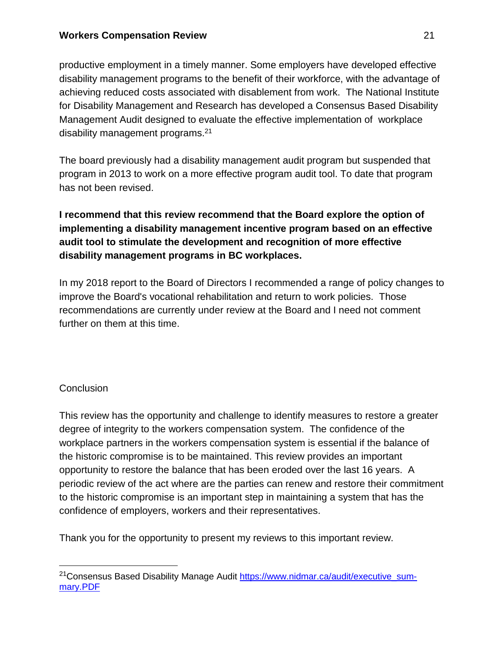productive employment in a timely manner. Some employers have developed effective disability management programs to the benefit of their workforce, with the advantage of achieving reduced costs associated with disablement from work. The National Institute for Disability Management and Research has developed a Consensus Based Disability Management Audit designed to evaluate the effective implementation of workplace disability management programs.<sup>21</sup>

The board previously had a disability management audit program but suspended that program in 2013 to work on a more effective program audit tool. To date that program has not been revised.

**I recommend that this review recommend that the Board explore the option of implementing a disability management incentive program based on an effective audit tool to stimulate the development and recognition of more effective disability management programs in BC workplaces.**

In my 2018 report to the Board of Directors I recommended a range of policy changes to improve the Board's vocational rehabilitation and return to work policies. Those recommendations are currently under review at the Board and I need not comment further on them at this time.

# **Conclusion**

This review has the opportunity and challenge to identify measures to restore a greater degree of integrity to the workers compensation system. The confidence of the workplace partners in the workers compensation system is essential if the balance of the historic compromise is to be maintained. This review provides an important opportunity to restore the balance that has been eroded over the last 16 years. A periodic review of the act where are the parties can renew and restore their commitment to the historic compromise is an important step in maintaining a system that has the confidence of employers, workers and their representatives.

Thank you for the opportunity to present my reviews to this important review.

<sup>&</sup>lt;sup>21</sup>Consensus Based Disability Manage Audit [https://www.nidmar.ca/audit/executive\\_sum](https://www.nidmar.ca/audit/executive_summary.PDF)[mary.PDF](https://www.nidmar.ca/audit/executive_summary.PDF)